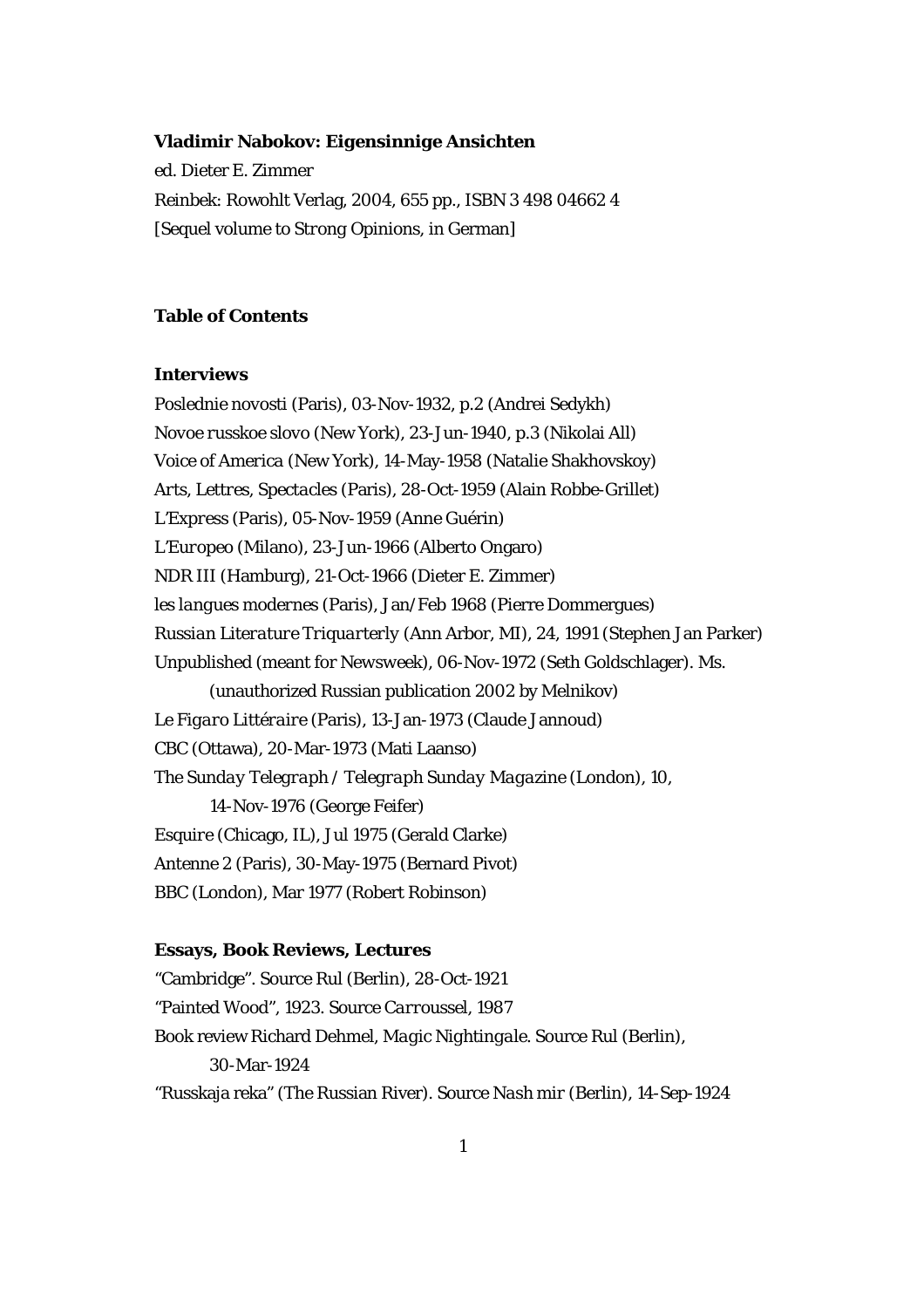#### **Vladimir Nabokov:** *Eigensinnige Ansichten*

ed. Dieter E. Zimmer Reinbek: Rowohlt Verlag, 2004, 655 pp., ISBN 3 498 04662 4 [Sequel volume to *Strong Opinions*, in German]

# **Table of Contents**

## **Interviews**

*Poslednie novosti* (Paris), 03-Nov-1932, p.2 (Andrei Sedykh) *Novoe russkoe slovo* (New York), 23-Jun-1940, p.3 (Nikolai All) *Voice of America* (New York), 14-May-1958 (Natalie Shakhovskoy) *Arts, Lettres, Spectacles* (Paris), 28-Oct-1959 (Alain Robbe-Grillet) *L'Express* (Paris), 05-Nov-1959 (Anne Guérin) *L'Europeo* (Milano), 23-Jun-1966 (Alberto Ongaro) *NDR III* (Hamburg), 21-Oct-1966 (Dieter E. Zimmer) *les langues modernes* (Paris), Jan/Feb 1968 (Pierre Dommergues) *Russian Literature Triquarterly* (Ann Arbor, MI), 24, 1991 (Stephen Jan Parker) Unpublished (meant for *Newsweek*), 06-Nov-1972 (Seth Goldschlager). Ms. (unauthorized Russian publication 2002 by Melnikov) *Le Figaro Littéraire* (Paris), 13-Jan-1973 (Claude Jannoud) *CBC* (Ottawa), 20-Mar-1973 (Mati Laanso) *The Sunday Telegraph / Telegraph Sunday Magazine* (London), 10, 14-Nov-1976 (George Feifer) *Esquire* (Chicago, IL), Jul 1975 (Gerald Clarke) *Antenne 2* (Paris), 30-May-1975 (Bernard Pivot) *BBC* (London), Mar 1977 (Robert Robinson)

#### **Essays, Book Reviews, Lectures**

"Cambridge". Source *Rul* (Berlin), 28-Oct-1921 "Painted Wood", 1923. Source *Carroussel*, 1987 Book review Richard Dehmel, *Magic Nightingale.* Source *Rul* (Berlin), 30-Mar-1924 "Russkaja reka" (The Russian River). Source *Nash mir* (Berlin), 14-Sep-1924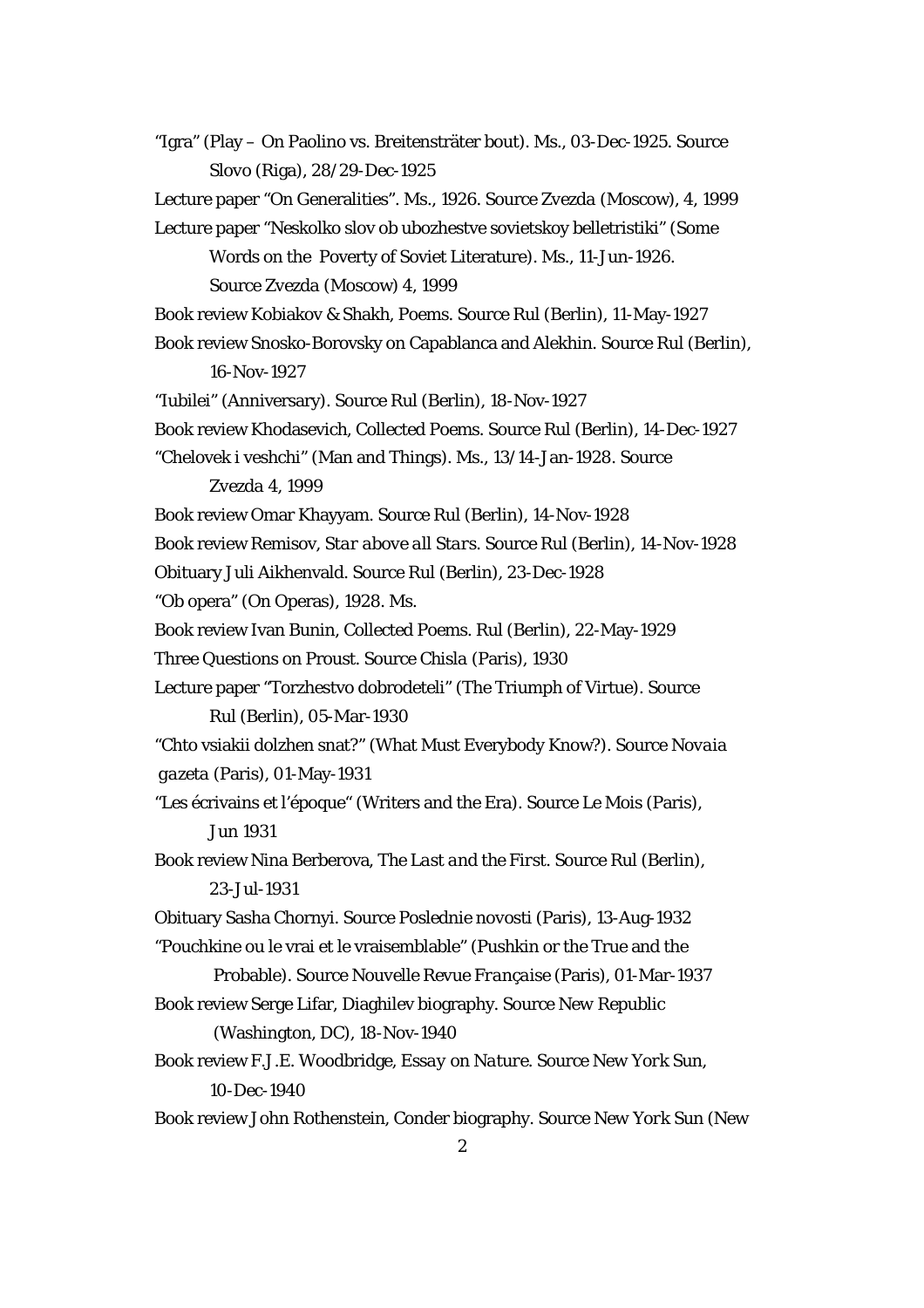"Igra" (Play – On Paolino vs. Breitensträter bout). Ms., 03-Dec-1925. Source  *Slovo* (Riga), 28/29-Dec-1925 Lecture paper "On Generalities". Ms., 1926. Source *Zvezda* (Moscow), 4, 1999 Lecture paper "Neskolko slov ob ubozhestve sovietskoy belletristiki" (Some Words on the Poverty of Soviet Literature). Ms., 11-Jun-1926. Source *Zvezda* (Moscow) 4, 1999 Book review Kobiakov & Shakh, Poems. Source *Rul* (Berlin), 11-May-1927 Book review Snosko-Borovsky on Capablanca and Alekhin. Source *Rul* (Berlin), 16-Nov-1927 "Iubilei" (Anniversary). Source *Rul* (Berlin), 18-Nov-1927 Book review Khodasevich, *Collected Poems*. Source *Rul* (Berlin), 14-Dec-1927 "Chelovek i veshchi" (Man and Things). Ms., 13/14-Jan-1928. Source *Zvezda* 4, 1999 Book review Omar Khayyam. Source *Rul* (Berlin), 14-Nov-1928 Book review Remisov, *Star above all Stars*. Source *Rul* (Berlin), 14-Nov-1928 Obituary Juli Aikhenvald. Source *Rul* (Berlin), 23-Dec-1928 "Ob opera" (On Operas), 1928. Ms. Book review Ivan Bunin, *Collected Poems*. *Rul* (Berlin), 22-May-1929 Three Questions on Proust. Source *Chisla* (Paris), 1930 Lecture paper "Torzhestvo dobrodeteli" (The Triumph of Virtue). Source *Rul* (Berlin), 05-Mar-1930 "Chto vsiakii dolzhen snat?" (What Must Everybody Know?). Source *Novaia gazeta* (Paris), 01-May-1931 "Les écrivains et l'époque" (Writers and the Era). Source *Le Mois* (Paris), Jun 1931 Book review Nina Berberova, *The Last and the First*. Source *Rul* (Berlin), 23-Jul-1931 Obituary Sasha Chornyi. Source *Poslednie novosti* (Paris), 13-Aug-1932 "Pouchkine ou le vrai et le vraisemblable" (Pushkin or the True and the Probable). Source *Nouvelle Revue Française* (Paris), 01-Mar-1937 Book review Serge Lifar, Diaghilev biography. Source *New Republic*  (Washington, DC), 18-Nov-1940 Book review F.J.E. Woodbridge, *Essay on Nature*. Source *New York Sun*, 10-Dec-1940 Book review John Rothenstein, Conder biography. Source *New York Sun* (New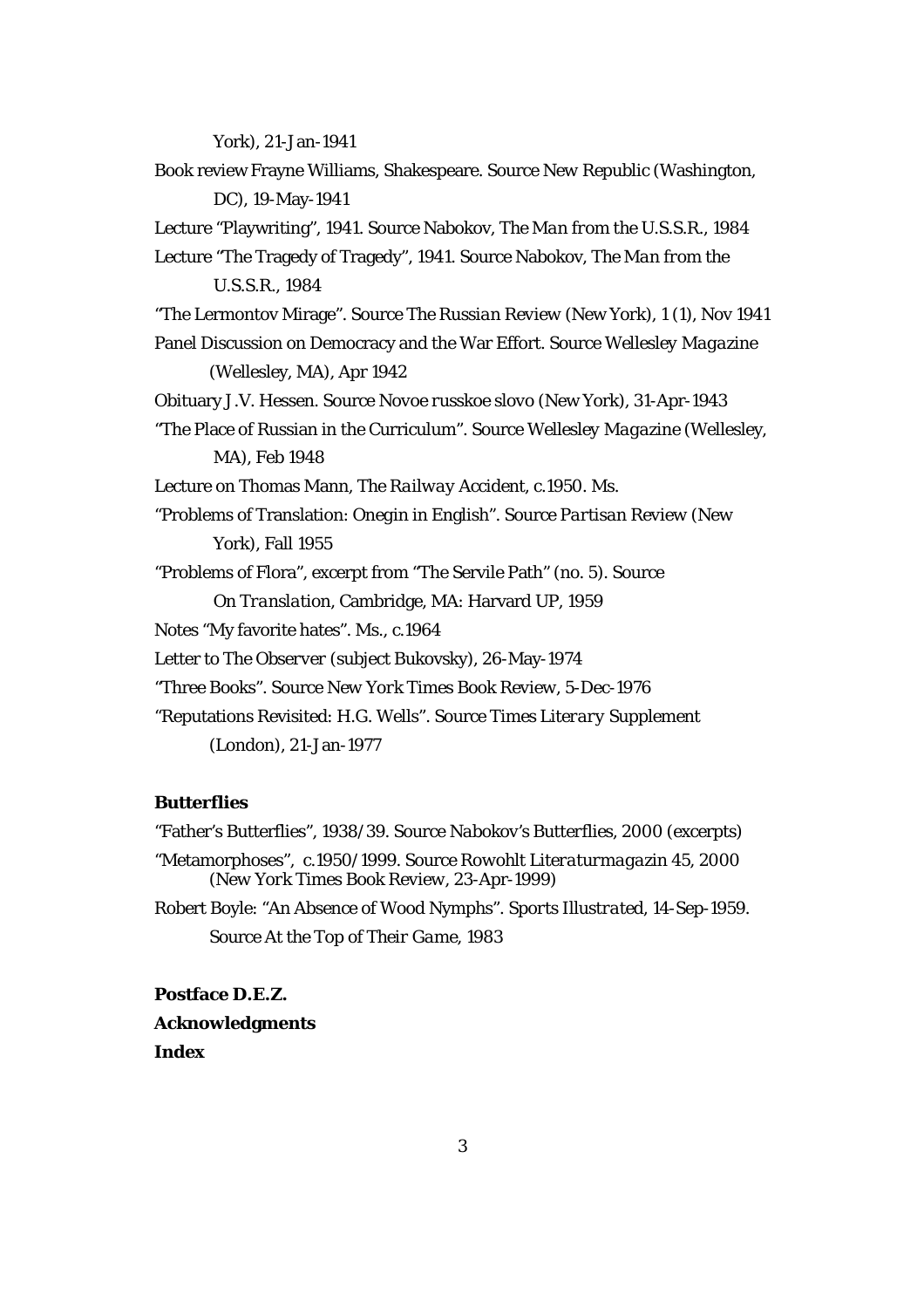York), 21-Jan-1941 Book review Frayne Williams, Shakespeare. Source *New Republic* (Washington, DC), 19-May-1941 Lecture "Playwriting", 1941. Source Nabokov, *The Man from the U.S.S.R.*, 1984 Lecture "The Tragedy of Tragedy", 1941. Source Nabokov, *The Man from the U.S.S.R.*, 1984 "The Lermontov Mirage". Source *The Russian Review* (New York), 1 (1), Nov 1941 Panel Discussion on Democracy and the War Effort. Source *Wellesley Magazine*  (Wellesley, MA), Apr 1942 Obituary J.V. Hessen. Source *Novoe russkoe slovo* (New York), 31-Apr-1943 "The Place of Russian in the Curriculum". Source *Wellesley Magazine* (Wellesley, MA), Feb 1948 Lecture on Thomas Mann, *The Railway Accident*, c.1950. Ms. "Problems of Translation: *Onegin* in English". Source *Partisan Review* (New York), Fall 1955 "Problems of Flora", excerpt from "The Servile Path" (no. 5). Source *On Translation*, Cambridge, MA: Harvard UP, 1959 Notes "My favorite hates". Ms., c.1964 Letter to *The Observer* (subject Bukovsky), 26-May-1974 "Three Books". Source *New York Times Book Review*, 5-Dec-1976 "Reputations Revisited: H.G. Wells". Source *Times Literary Supplement*  (London), 21-Jan-1977

# **Butterflies**

"Father's Butterflies", 1938/39. Source *Nabokov's Butterflies*, 2000 (excerpts) "Metamorphoses", c.1950/1999. Source *Rowohlt Literaturmagazin* 45, 2000 (*New York Times Book Review*, 23-Apr-1999) Robert Boyle: "An Absence of Wood Nymphs". *Sports Illustrated*, 14-Sep-1959.

Source *At the Top of Their Game*, 1983

**Postface D.E.Z. Acknowledgments Index**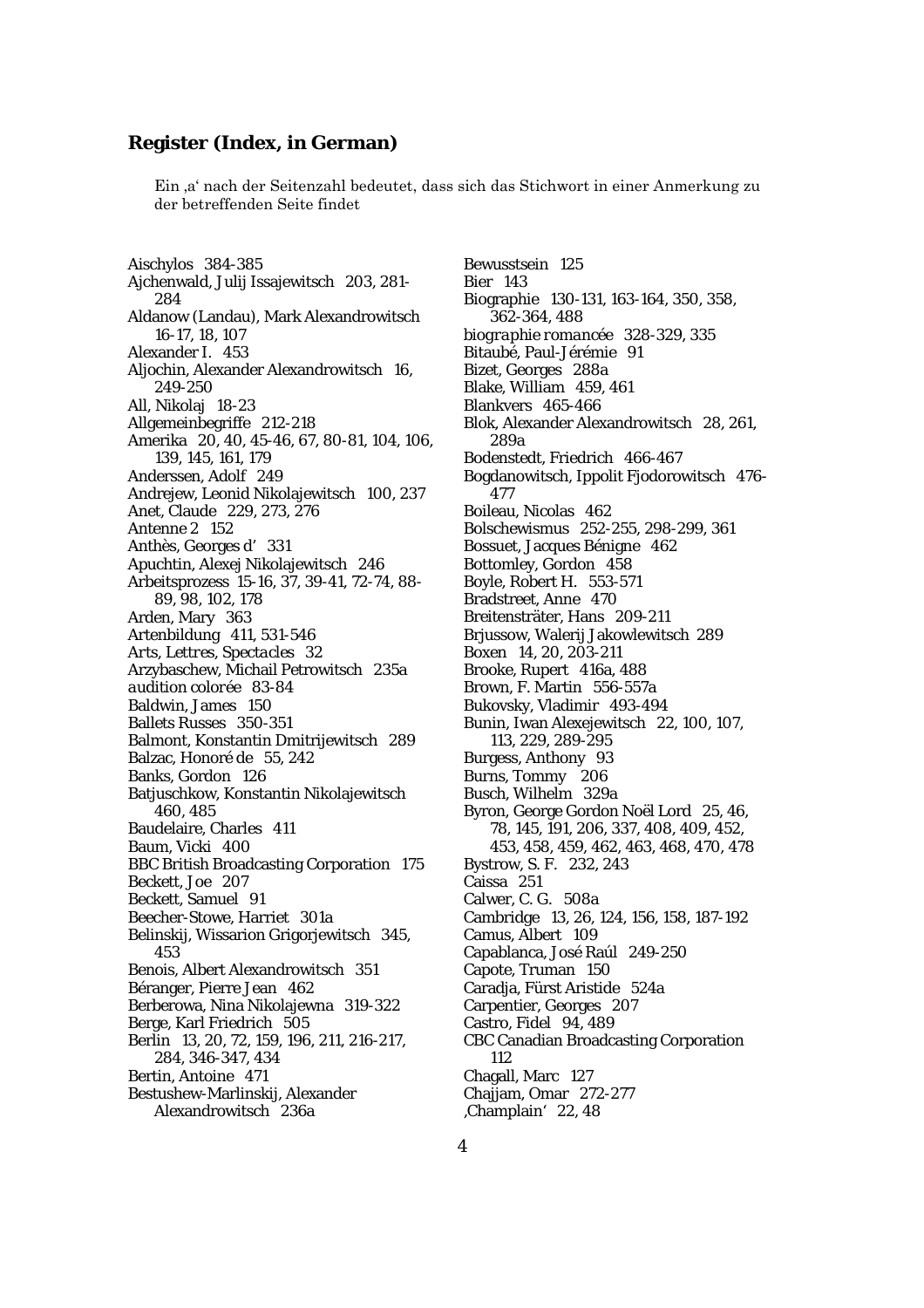## **Register (Index, in German)**

Ein ,a' nach der Seitenzahl bedeutet, dass sich das Stichwort in einer Anmerkung zu der betreffenden Seite findet

Aischylos 384-385 Ajchenwald, Julij Issajewitsch 203, 281- 284 Aldanow (Landau), Mark Alexandrowitsch 16-17, 18, 107 Alexander I. 453 Aljochin, Alexander Alexandrowitsch 16, 249-250 All, Nikolaj 18-23 Allgemeinbegriffe 212-218 Amerika 20, 40, 45-46, 67, 80-81, 104, 106, 139, 145, 161, 179 Anderssen, Adolf 249 Andrejew, Leonid Nikolajewitsch 100, 237 Anet, Claude 229, 273, 276 Antenne 2 152 Anthès, Georges d' 331 Apuchtin, Alexej Nikolajewitsch 246 Arbeitsprozess 15-16, 37, 39-41, 72-74, 88- 89, 98, 102, 178 Arden, Mary 363 Artenbildung 411, 531-546 *Arts, Lettres, Spectacles* 32 Arzybaschew, Michail Petrowitsch 235a *audition colorée* 83-84 Baldwin, James 150 Ballets Russes 350-351 Balmont, Konstantin Dmitrijewitsch 289 Balzac, Honoré de 55, 242 Banks, Gordon 126 Batjuschkow, Konstantin Nikolajewitsch 460, 485 Baudelaire, Charles 411 Baum, Vicki 400 BBC British Broadcasting Corporation 175 Beckett, Joe 207 Beckett, Samuel 91 Beecher-Stowe, Harriet 301a Belinskij, Wissarion Grigorjewitsch 345, 453 Benois, Albert Alexandrowitsch 351 Béranger, Pierre Jean 462 Berberowa, Nina Nikolajewna 319-322 Berge, Karl Friedrich 505 Berlin 13, 20, 72, 159, 196, 211, 216-217, 284, 346-347, 434 Bertin, Antoine 471 Bestushew-Marlinskij, Alexander Alexandrowitsch 236a

Bewusstsein 125 Bier 143 Biographie 130-131, 163-164, 350, 358, 362-364, 488 *biographie romancée* 328-329, 335 Bitaubé, Paul-Jérémie 91 Bizet, Georges 288a Blake, William 459, 461 Blankvers 465-466 Blok, Alexander Alexandrowitsch 28, 261, 289a Bodenstedt, Friedrich 466-467 Bogdanowitsch, Ippolit Fjodorowitsch 476- 477 Boileau, Nicolas 462 Bolschewismus 252-255, 298-299, 361 Bossuet, Jacques Bénigne 462 Bottomley, Gordon 458 Boyle, Robert H. 553-571 Bradstreet, Anne 470 Breitensträter, Hans 209-211 Brjussow, Walerij Jakowlewitsch 289 Boxen 14, 20, 203-211 Brooke, Rupert 416a, 488 Brown, F. Martin 556-557a Bukovsky, Vladimir 493-494 Bunin, Iwan Alexejewitsch 22, 100, 107, 113, 229, 289-295 Burgess, Anthony 93 Burns, Tommy 206 Busch, Wilhelm 329a Byron, George Gordon Noël Lord 25, 46, 78, 145, 191, 206, 337, 408, 409, 452, 453, 458, 459, 462, 463, 468, 470, 478 Bystrow, S. F. 232, 243 Caissa 251 Calwer, C. G. 508a Cambridge 13, 26, 124, 156, 158, 187-192 Camus, Albert 109 Capablanca, José Raúl 249-250 Capote, Truman 150 Caradja, Fürst Aristide 524a Carpentier, Georges 207 Castro, Fidel 94, 489 CBC Canadian Broadcasting Corporation 112 Chagall, Marc 127 Chajjam, Omar 272-277 'Champlain' 22, 48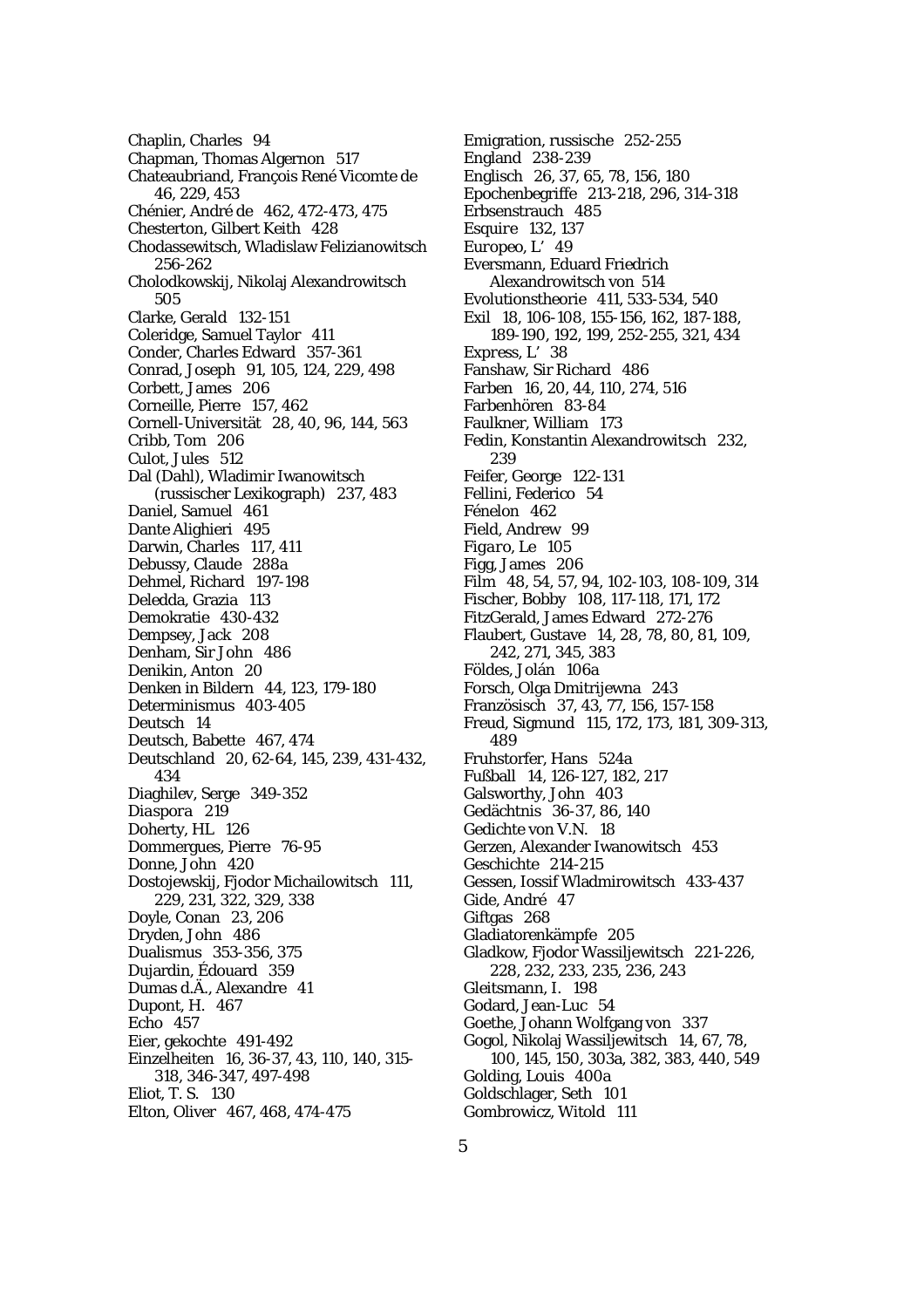Chaplin, Charles 94 Chapman, Thomas Algernon 517 Chateaubriand, François René Vicomte de 46, 229, 453 Chénier, André de 462, 472-473, 475 Chesterton, Gilbert Keith 428 Chodassewitsch, Wladislaw Felizianowitsch 256-262 Cholodkowskij, Nikolaj Alexandrowitsch 505 Clarke, Gerald 132-151 Coleridge, Samuel Taylor 411 Conder, Charles Edward 357-361 Conrad, Joseph 91, 105, 124, 229, 498 Corbett, James 206 Corneille, Pierre 157, 462 Cornell-Universität 28, 40, 96, 144, 563 Cribb, Tom 206 Culot, Jules 512 Dal (Dahl), Wladimir Iwanowitsch (russischer Lexikograph) 237, 483 Daniel, Samuel 461 Dante Alighieri 495 Darwin, Charles 117, 411 Debussy, Claude 288a Dehmel, Richard 197-198 Deledda, Grazia 113 Demokratie 430-432 Dempsey, Jack 208 Denham, Sir John 486 Denikin, Anton 20 Denken in Bildern 44, 123, 179-180 Determinismus 403-405 Deutsch 14 Deutsch, Babette 467, 474 Deutschland 20, 62-64, 145, 239, 431-432, 434 Diaghilev, Serge 349-352 *Diaspora* 219 Doherty, HL 126 Dommergues, Pierre 76-95 Donne, John 420 Dostojewskij, Fjodor Michailowitsch 111, 229, 231, 322, 329, 338 Doyle, Conan 23, 206 Dryden, John 486 Dualismus 353-356, 375 Dujardin, Édouard 359 Dumas d.Ä., Alexandre 41 Dupont, H. 467 Echo 457 Eier, gekochte 491-492 Einzelheiten 16, 36-37, 43, 110, 140, 315- 318, 346-347, 497-498 Eliot, T. S. 130 Elton, Oliver 467, 468, 474-475

Emigration, russische 252-255 England 238-239 Englisch 26, 37, 65, 78, 156, 180 Epochenbegriffe 213-218, 296, 314-318 Erbsenstrauch 485 *Esquire* 132, 137 *Europeo, L'*49 Eversmann, Eduard Friedrich Alexandrowitsch von 514 Evolutionstheorie 411, 533-534, 540 Exil 18, 106-108, 155-156, 162, 187-188, 189-190, 192, 199, 252-255, 321, 434 *Express, L'* 38 Fanshaw, Sir Richard 486 Farben 16, 20, 44, 110, 274, 516 Farbenhören 83-84 Faulkner, William 173 Fedin, Konstantin Alexandrowitsch 232, 239 Feifer, George 122-131 Fellini, Federico 54 Fénelon 462 Field, Andrew 99 *Figaro, Le* 105 Figg, James 206 Film 48, 54, 57, 94, 102-103, 108-109, 314 Fischer, Bobby 108, 117-118, 171, 172 FitzGerald, James Edward 272-276 Flaubert, Gustave 14, 28, 78, 80, 81, 109, 242, 271, 345, 383 Földes, Jolán 106a Forsch, Olga Dmitrijewna 243 Französisch 37, 43, 77, 156, 157-158 Freud, Sigmund 115, 172, 173, 181, 309-313, 489 Fruhstorfer, Hans 524a Fußball 14, 126-127, 182, 217 Galsworthy, John 403 Gedächtnis 36-37, 86, 140 Gedichte von V.N. 18 Gerzen, Alexander Iwanowitsch 453 Geschichte 214-215 Gessen, Iossif Wladmirowitsch 433-437 Gide, André 47 Giftgas 268 Gladiatorenkämpfe 205 Gladkow, Fjodor Wassiljewitsch 221-226, 228, 232, 233, 235, 236, 243 Gleitsmann, I. 198 Godard, Jean-Luc 54 Goethe, Johann Wolfgang von 337 Gogol, Nikolaj Wassiljewitsch 14, 67, 78, 100, 145, 150, 303a, 382, 383, 440, 549 Golding, Louis 400a Goldschlager, Seth 101 Gombrowicz, Witold 111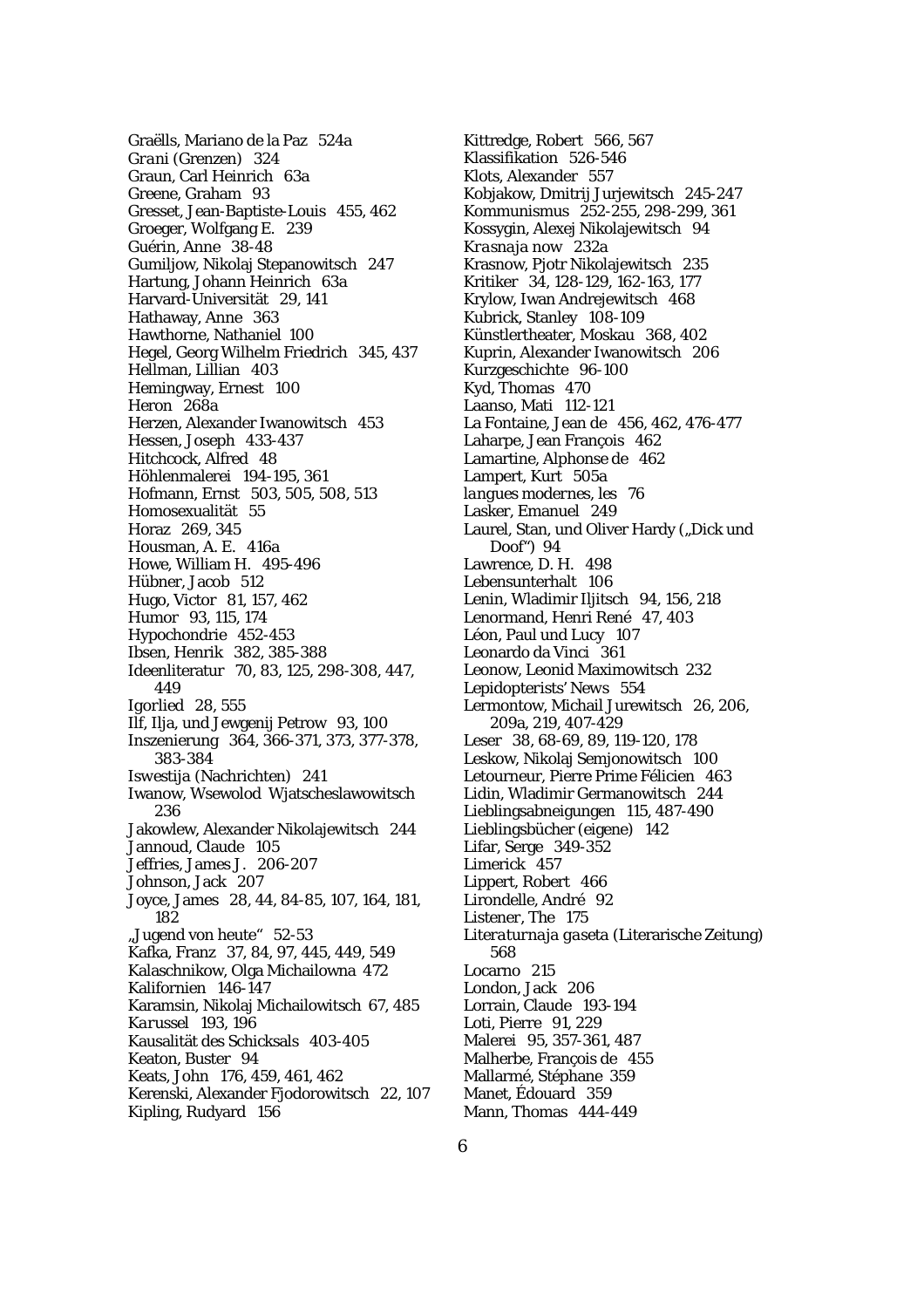Graëlls, Mariano de la Paz 524a *Grani* (Grenzen) 324 Graun, Carl Heinrich 63a Greene, Graham 93 Gresset, Jean-Baptiste-Louis 455, 462 Groeger, Wolfgang E. 239 Guérin, Anne 38-48 Gumiljow, Nikolaj Stepanowitsch 247 Hartung, Johann Heinrich 63a Harvard-Universität 29, 141 Hathaway, Anne 363 Hawthorne, Nathaniel 100 Hegel, Georg Wilhelm Friedrich 345, 437 Hellman, Lillian 403 Hemingway, Ernest 100 Heron<sup>268a</sup> Herzen, Alexander Iwanowitsch 453 Hessen, Joseph 433-437 Hitchcock, Alfred 48 Höhlenmalerei 194-195, 361 Hofmann, Ernst 503, 505, 508, 513 Homosexualität 55 Horaz 269, 345 Housman, A. E. 416a Howe, William H. 495-496 Hübner, Jacob 512 Hugo, Victor 81, 157, 462 Humor 93, 115, 174 Hypochondrie 452-453 Ibsen, Henrik 382, 385-388 Ideenliteratur 70, 83, 125, 298-308, 447, 449 *Igorlied* 28, 555 Ilf, Ilja, und Jewgenij Petrow 93, 100 Inszenierung 364, 366-371, 373, 377-378, 383-384 *Iswestija* (Nachrichten) 241 Iwanow, Wsewolod Wjatscheslawowitsch 236 Jakowlew, Alexander Nikolajewitsch 244 Jannoud, Claude 105 Jeffries, James J. 206-207 Johnson, Jack 207 Joyce, James 28, 44, 84-85, 107, 164, 181, 182 "Jugend von heute" 52-53 Kafka, Franz 37, 84, 97, 445, 449, 549 Kalaschnikow, Olga Michailowna 472 Kalifornien 146-147 Karamsin, Nikolaj Michailowitsch 67, 485 *Karussel* 193, 196 Kausalität des Schicksals 403-405 Keaton, Buster 94 Keats, John 176, 459, 461, 462 Kerenski, Alexander Fjodorowitsch 22, 107 Kipling, Rudyard 156

Kittredge, Robert 566, 567 Klassifikation 526-546 Klots, Alexander 557 Kobjakow, Dmitrij Jurjewitsch 245-247 Kommunismus 252-255, 298-299, 361 Kossygin, Alexej Nikolajewitsch 94 *Krasnaja now* 232a Krasnow, Pjotr Nikolajewitsch 235 Kritiker 34, 128-129, 162-163, 177 Krylow, Iwan Andrejewitsch 468 Kubrick, Stanley 108-109 Künstlertheater, Moskau 368, 402 Kuprin, Alexander Iwanowitsch 206 Kurzgeschichte 96-100 Kyd, Thomas 470 Laanso, Mati 112-121 La Fontaine, Jean de 456, 462, 476-477 Laharpe, Jean François 462 Lamartine, Alphonse de 462 Lampert, Kurt 505a *langues modernes, les* 76 Lasker, Emanuel 249 Laurel, Stan, und Oliver Hardy ("Dick und Doof") 94 Lawrence, D. H. 498 Lebensunterhalt 106 Lenin, Wladimir Iljitsch 94, 156, 218 Lenormand, Henri René 47, 403 Léon, Paul und Lucy 107 Leonardo da Vinci 361 Leonow, Leonid Maximowitsch 232 *Lepidopterists' News* 554 Lermontow, Michail Jurewitsch 26, 206, 209a, 219, 407-429 Leser 38, 68-69, 89, 119-120, 178 Leskow, Nikolaj Semjonowitsch 100 Letourneur, Pierre Prime Félicien 463 Lidin, Wladimir Germanowitsch 244 Lieblingsabneigungen 115, 487-490 Lieblingsbücher (eigene) 142 Lifar, Serge 349-352 Limerick 457 Lippert, Robert 466 Lirondelle, André 92 *Listener, The* 175 *Literaturnaja gaseta* (Literarische Zeitung) 568 Locarno 215 London, Jack 206 Lorrain, Claude 193-194 Loti, Pierre 91, 229 Malerei 95, 357-361, 487 Malherbe, François de 455 Mallarmé, Stéphane 359 Manet, Édouard 359 Mann, Thomas 444-449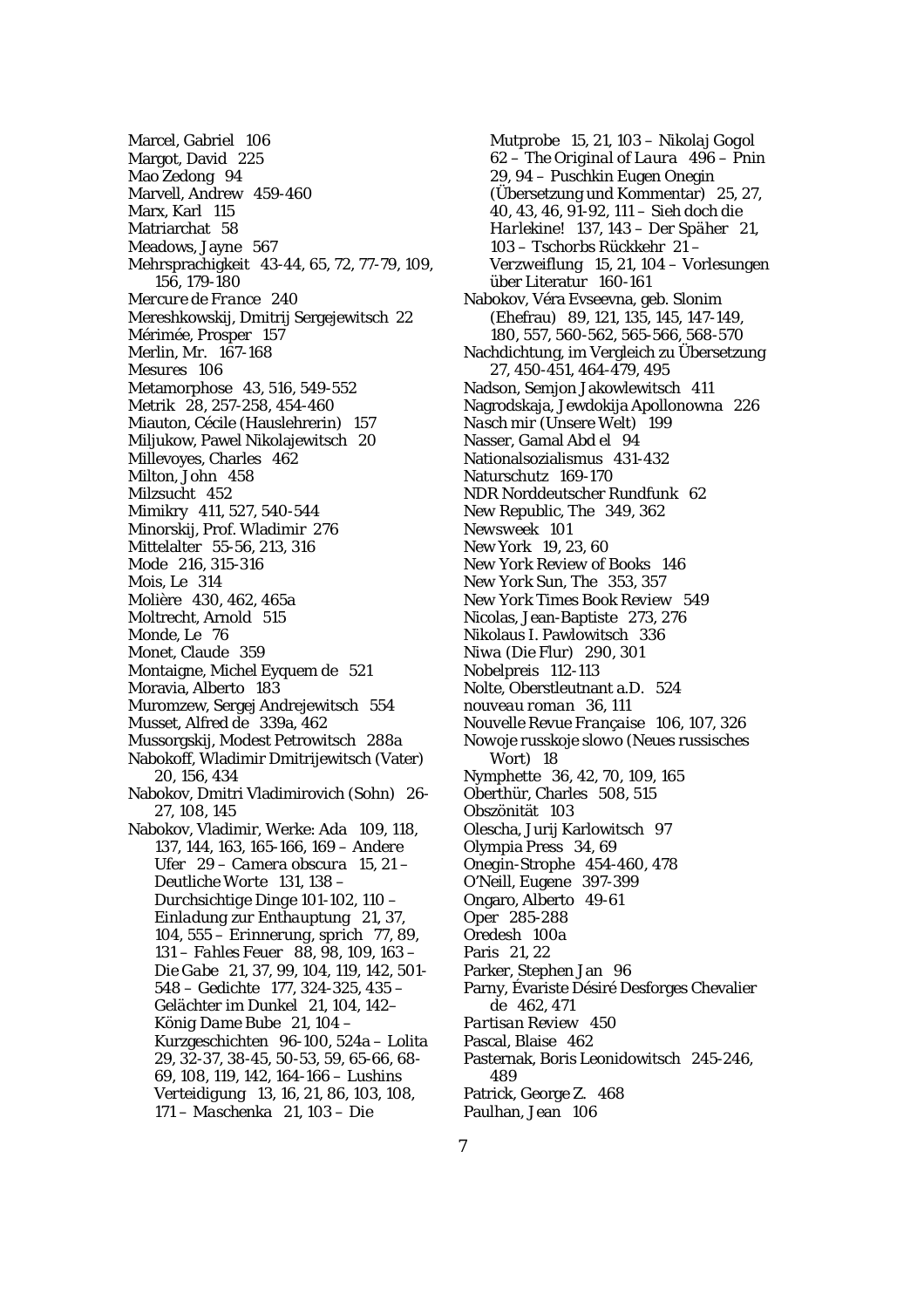Marcel, Gabriel 106 Margot, David 225 Mao Zedong 94 Marvell, Andrew 459-460 Marx, Karl 115 Matriarchat 58 Meadows, Jayne 567 Mehrsprachigkeit 43-44, 65, 72, 77-79, 109, 156, 179-180 *Mercure de France* 240 Mereshkowskij, Dmitrij Sergejewitsch 22 Mérimée, Prosper 157 Merlin, Mr. 167-168 *Mesures* 106 Metamorphose 43, 516, 549-552 Metrik 28, 257-258, 454-460 Miauton, Cécile (Hauslehrerin) 157 Miljukow, Pawel Nikolajewitsch 20 Millevoyes, Charles 462 Milton, John 458 Milzsucht 452 Mimikry 411, 527, 540-544 Minorskij, Prof. Wladimir 276 Mittelalter 55-56, 213, 316 Mode 216, 315-316 *Mois, Le* 314 Molière 430, 462, 465a Moltrecht, Arnold 515 *Monde, Le* 76 Monet, Claude 359 Montaigne, Michel Eyquem de 521 Moravia, Alberto 183 Muromzew, Sergej Andrejewitsch 554 Musset, Alfred de 339a, 462 Mussorgskij, Modest Petrowitsch 288a Nabokoff, Wladimir Dmitrijewitsch (Vater) 20, 156, 434 Nabokov, Dmitri Vladimirovich (Sohn) 26- 27, 108, 145 Nabokov, Vladimir, Werke: *Ada* 109, 118, 137, 144, 163, 165-166, 169 – *Andere Ufer* 29 – *Camera obscura* 15, 21 – *Deutliche Worte* 131, 138 – *Durchsichtige Dinge* 101-102, 110 – *Einladung zur Enthauptung* 21, 37, 104, 555 – *Erinnerung, sprich* 77, 89, 131 – *Fahles Feuer* 88, 98, 109, 163 – *Die Gabe* 21, 37, 99, 104, 119, 142, 501- 548 – Gedichte 177, 324-325, 435 – *Gelächter im Dunkel* 21, 104, 142– *König Dame Bube* 21, 104 – Kurzgeschichten 96-100, 524a – *Lolita* 29, 32-37, 38-45, 50-53, 59, 65-66, 68- 69, 108, 119, 142, 164-166 – *Lushins Verteidigung* 13, 16, 21, 86, 103, 108, 171 – *Maschenka* 21, 103 – *Die* 

*Mutprobe* 15, 21, 103 – *Nikolaj Gogol*  62 – *The Original of Laura* 496 – *Pnin* 29, 94 – *Puschkin* Eugen Onegin (Übersetzung und Kommentar) 25, 27, 40, 43, 46, 91-92, 111 – *Sieh doch die Harlekine!* 137, 143 – *Der Späher* 21, 103 – *Tschorbs Rückkehr* 21 – *Verzweiflung* 15, 21, 104 – Vorlesungen über Literatur 160-161 Nabokov, Véra Evseevna, geb. Slonim (Ehefrau) 89, 121, 135, 145, 147-149, 180, 557, 560-562, 565-566, 568-570 Nachdichtung, im Vergleich zu Übersetzung 27, 450-451, 464-479, 495 Nadson, Semjon Jakowlewitsch 411 Nagrodskaja, Jewdokija Apollonowna 226 *Nasch mir* (Unsere Welt) 199 Nasser, Gamal Abd el 94 Nationalsozialismus 431-432 Naturschutz 169-170 NDR Norddeutscher Rundfunk 62 *New Republic, The* 349, 362 *Newsweek* 101 New York 19, 23, 60 *New York Review of Books* 146 *New York Sun, The* 353, 357 *New York Times Book Review* 549 Nicolas, Jean-Baptiste 273, 276 Nikolaus I. Pawlowitsch 336 *Niwa* (Die Flur) 290, 301 Nobelpreis 112-113 Nolte, Oberstleutnant a.D. 524 *nouveau roman* 36, 111 *Nouvelle Revue Française* 106, 107, 326 *Nowoje russkoje slowo* (Neues russisches Wort) 18 Nymphette 36, 42, 70, 109, 165 Oberthür, Charles 508, 515 Obszönität 103 Olescha, Jurij Karlowitsch 97 Olympia Press 34, 69 *Onegin*-Strophe 454-460, 478 O'Neill, Eugene 397-399 Ongaro, Alberto 49-61 Oper 285-288 Oredesh 100a Paris 21, 22 Parker, Stephen Jan 96 Parny, Évariste Désiré Desforges Chevalier de 462, 471 *Partisan Review* 450 Pascal, Blaise 462 Pasternak, Boris Leonidowitsch 245-246, 489 Patrick, George Z. 468 Paulhan, Jean 106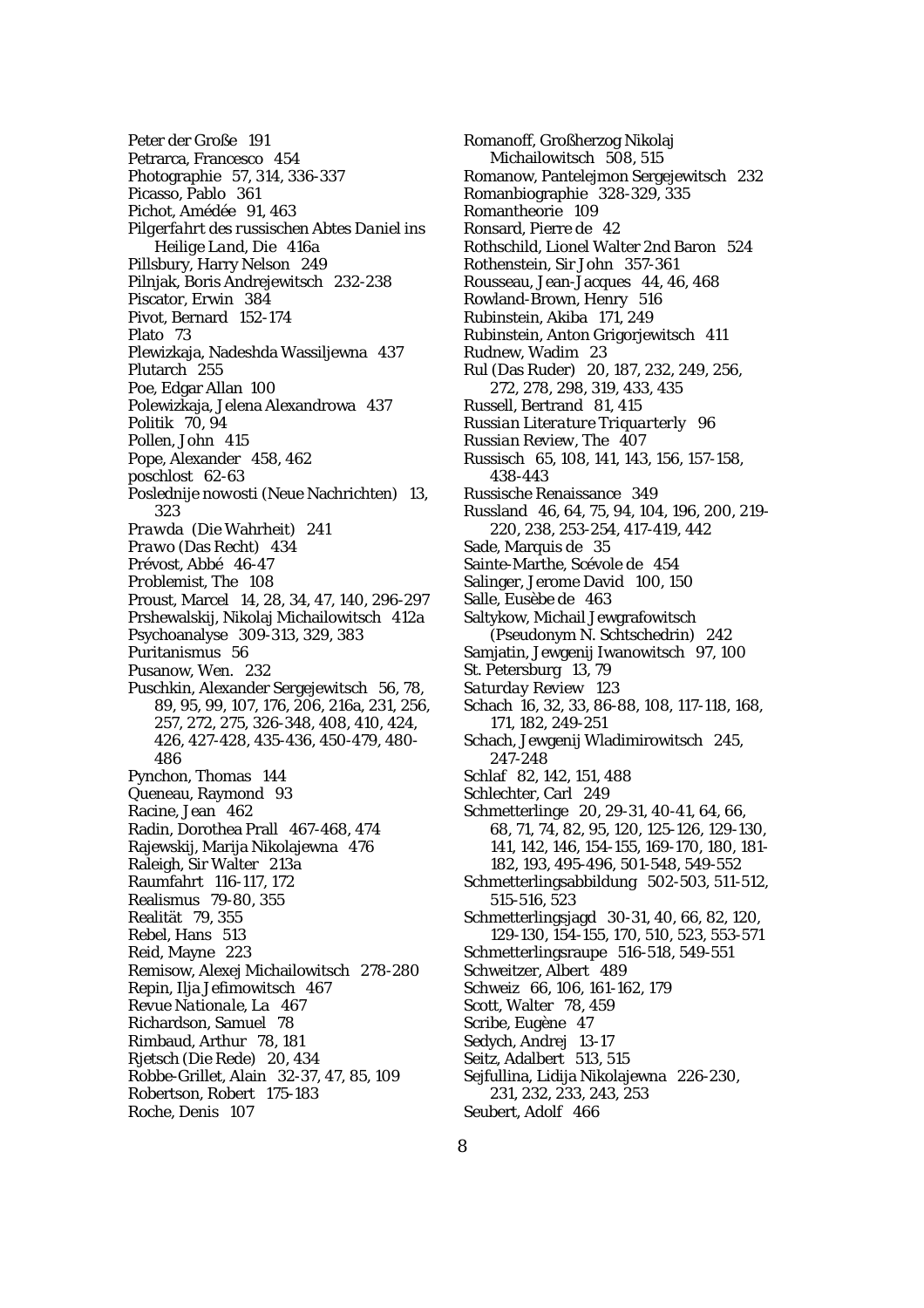Peter der Große 191 Petrarca, Francesco 454 Photographie 57, 314, 336-337 Picasso, Pablo 361 Pichot, Amédée 91, 463 *Pilgerfahrt des russischen Abtes Daniel ins Heilige Land, Die* 416a Pillsbury, Harry Nelson 249 Pilnjak, Boris Andrejewitsch 232-238 Piscator, Erwin 384 Pivot, Bernard 152-174 Plato 73 Plewizkaja, Nadeshda Wassiljewna 437 Plutarch 255 Poe, Edgar Allan 100 Polewizkaja, Jelena Alexandrowa 437 Politik 70, 94 Pollen, John 415 Pope, Alexander 458, 462 *poschlost* 62-63 *Poslednije nowosti* (Neue Nachrichten) 13, 323 *Prawda* (Die Wahrheit) 241 *Prawo* (Das Recht) 434 Prévost, Abbé 46-47 *Problemist, The* 108 Proust, Marcel 14, 28, 34, 47, 140, 296-297 Prshewalskij, Nikolaj Michailowitsch 412a Psychoanalyse 309-313, 329, 383 Puritanismus 56 Pusanow, Wen. 232 Puschkin, Alexander Sergejewitsch 56, 78, 89, 95, 99, 107, 176, 206, 216a, 231, 256, 257, 272, 275, 326-348, 408, 410, 424, 426, 427-428, 435-436, 450-479, 480- 486 Pynchon, Thomas 144 Queneau, Raymond 93 Racine, Jean 462 Radin, Dorothea Prall 467-468, 474 Rajewskij, Marija Nikolajewna 476 Raleigh, Sir Walter 213a Raumfahrt 116-117, 172 Realismus 79-80, 355 Realität 79, 355 Rebel, Hans 513 Reid, Mayne 223 Remisow, Alexej Michailowitsch 278-280 Repin, Ilja Jefimowitsch 467 *Revue Nationale, La* 467 Richardson, Samuel 78 Rimbaud, Arthur 78, 181 *Rjetsch* (Die Rede) 20, 434 Robbe-Grillet, Alain 32-37, 47, 85, 109 Robertson, Robert 175-183 Roche, Denis 107

Romanoff, Großherzog Nikolaj Michailowitsch 508, 515 Romanow, Pantelejmon Sergejewitsch 232 Romanbiographie 328-329, 335 Romantheorie 109 Ronsard, Pierre de 42 Rothschild, Lionel Walter 2nd Baron 524 Rothenstein, Sir John 357-361 Rousseau, Jean-Jacques 44, 46, 468 Rowland-Brown, Henry 516 Rubinstein, Akiba 171, 249 Rubinstein, Anton Grigorjewitsch 411 Rudnew, Wadim 23 *Rul* (Das Ruder) 20, 187, 232, 249, 256, 272, 278, 298, 319, 433, 435 Russell, Bertrand 81, 415 *Russian Literature Triquarterly* 96 *Russian Review, The* 407 Russisch 65, 108, 141, 143, 156, 157-158, 438-443 Russische Renaissance 349 Russland 46, 64, 75, 94, 104, 196, 200, 219- 220, 238, 253-254, 417-419, 442 Sade, Marquis de 35 Sainte-Marthe, Scévole de 454 Salinger, Jerome David 100, 150 Salle, Eusèbe de 463 Saltykow, Michail Jewgrafowitsch (Pseudonym N. Schtschedrin) 242 Samjatin, Jewgenij Iwanowitsch 97, 100 St. Petersburg 13, 79 *Saturday Review* 123 Schach 16, 32, 33, 86-88, 108, 117-118, 168, 171, 182, 249-251 Schach, Jewgenij Wladimirowitsch 245, 247-248 Schlaf 82, 142, 151, 488 Schlechter, Carl 249 Schmetterlinge 20, 29-31, 40-41, 64, 66, 68, 71, 74, 82, 95, 120, 125-126, 129-130, 141, 142, 146, 154-155, 169-170, 180, 181- 182, 193, 495-496, 501-548, 549-552 Schmetterlingsabbildung 502-503, 511-512, 515-516, 523 Schmetterlingsjagd 30-31, 40, 66, 82, 120, 129-130, 154-155, 170, 510, 523, 553-571 Schmetterlingsraupe 516-518, 549-551 Schweitzer, Albert 489 Schweiz 66, 106, 161-162, 179 Scott, Walter 78, 459 Scribe, Eugène 47 Sedych, Andrej 13-17 Seitz, Adalbert 513, 515 Sejfullina, Lidija Nikolajewna 226-230, 231, 232, 233, 243, 253 Seubert, Adolf 466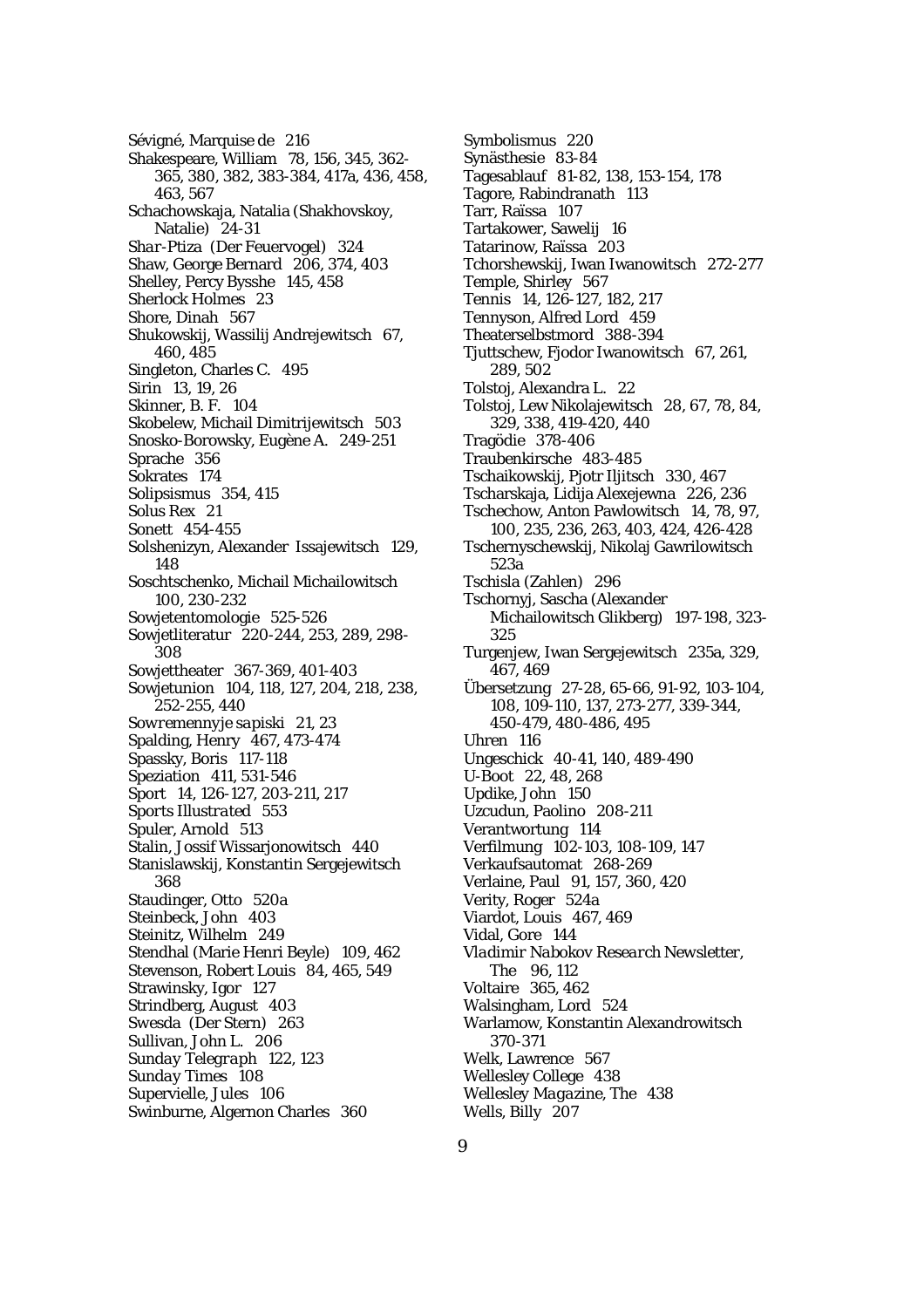Sévigné, Marquise de 216 Shakespeare, William 78, 156, 345, 362- 365, 380, 382, 383-384, 417a, 436, 458, 463, 567 Schachowskaja, Natalia (Shakhovskoy, Natalie) 24-31 *Shar-Ptiza* (Der Feuervogel) 324 Shaw, George Bernard 206, 374, 403 Shelley, Percy Bysshe 145, 458 Sherlock Holmes 23 Shore, Dinah 567 Shukowskij, Wassilij Andrejewitsch 67, 460, 485 Singleton, Charles C. 495 Sirin 13, 19, 26 Skinner, B. F. 104 Skobelew, Michail Dimitrijewitsch 503 Snosko-Borowsky, Eugène A. 249-251 Sprache 356 Sokrates 174 Solipsismus 354, 415 *Solus Rex* 21 Sonett 454-455 Solshenizyn, Alexander Issajewitsch 129, 148 Soschtschenko, Michail Michailowitsch 100, 230-232 Sowjetentomologie 525-526 Sowjetliteratur 220-244, 253, 289, 298- 308 Sowjettheater 367-369, 401-403 Sowjetunion 104, 118, 127, 204, 218, 238, 252-255, 440 *Sowremennyje sapiski* 21, 23 Spalding, Henry 467, 473-474 Spassky, Boris 117-118 Speziation 411, 531-546 Sport 14, 126-127, 203-211, 217 *Sports Illustrated* 553 Spuler, Arnold 513 Stalin, Jossif Wissarjonowitsch 440 Stanislawskij, Konstantin Sergejewitsch 368 Staudinger, Otto 520a Steinbeck, John 403 Steinitz, Wilhelm 249 Stendhal (Marie Henri Beyle) 109, 462 Stevenson, Robert Louis 84, 465, 549 Strawinsky, Igor 127 Strindberg, August 403 *Swesda* (Der Stern) 263 Sullivan, John L. 206 *Sunday Telegraph* 122, 123 *Sunday Times* 108 Supervielle, Jules 106 Swinburne, Algernon Charles 360

- Symbolismus 220
- Synästhesie 83-84
- Tagesablauf 81-82, 138, 153-154, 178
- Tagore, Rabindranath 113
- Tarr, Raïssa 107
- Tartakower, Sawelij 16
- Tatarinow, Raïssa 203
- Tchorshewskij, Iwan Iwanowitsch 272-277
- Temple, Shirley 567
- Tennis 14, 126-127, 182, 217
- Tennyson, Alfred Lord 459
- Theaterselbstmord 388-394
- Tjuttschew, Fjodor Iwanowitsch 67, 261, 289, 502
- Tolstoj, Alexandra L. 22
- Tolstoj, Lew Nikolajewitsch 28, 67, 78, 84, 329, 338, 419-420, 440
- Tragödie 378-406
- Traubenkirsche 483-485
- Tschaikowskij, Pjotr Iljitsch 330, 467
- Tscharskaja, Lidija Alexejewna 226, 236
- Tschechow, Anton Pawlowitsch 14, 78, 97, 100, 235, 236, 263, 403, 424, 426-428
- Tschernyschewskij, Nikolaj Gawrilowitsch 523a
- *Tschisla* (Zahlen) 296
- Tschornyj, Sascha (Alexander Michailowitsch Glikberg) 197-198, 323- 325
- Turgenjew, Iwan Sergejewitsch 235a, 329, 467, 469
- Übersetzung 27-28, 65-66, 91-92, 103-104, 108, 109-110, 137, 273-277, 339-344, 450-479, 480-486, 495
- Uhren 116
- Ungeschick 40-41, 140, 489-490
- U-Boot 22, 48, 268
- Updike, John 150
- Uzcudun, Paolino 208-211
- Verantwortung 114
- Verfilmung 102-103, 108-109, 147
- Verkaufsautomat 268-269
- Verlaine, Paul 91, 157, 360, 420
- Verity, Roger 524a
- Viardot, Louis 467, 469
- Vidal, Gore 144
- *Vladimir Nabokov Research Newsletter, The* 96, 112
- Voltaire 365, 462
- Walsingham, Lord 524
- Warlamow, Konstantin Alexandrowitsch 370-371
- Welk, Lawrence 567
- Wellesley College 438
- *Wellesley Magazine, The* 438
- Wells, Billy 207